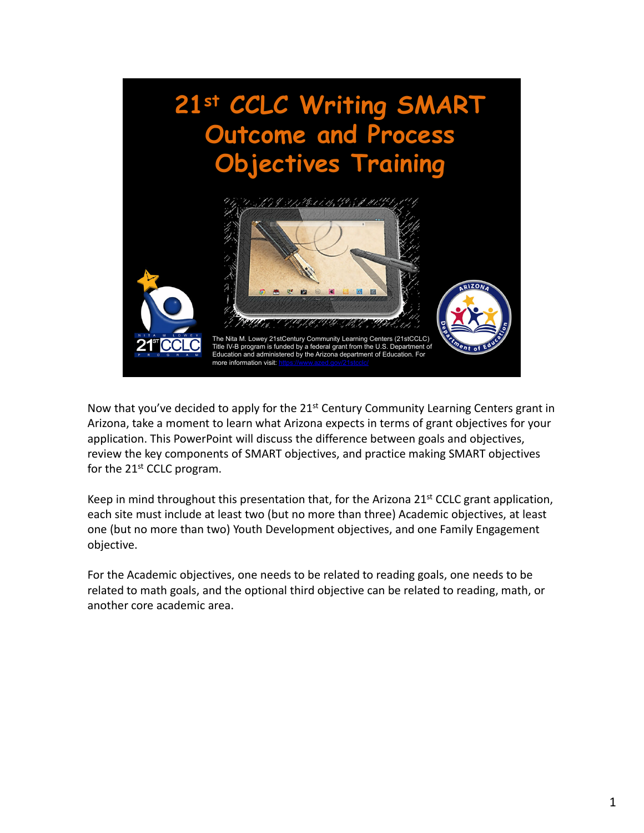

Now that you've decided to apply for the  $21<sup>st</sup>$  Century Community Learning Centers grant in Arizona, take a moment to learn what Arizona expects in terms of grant objectives for your application. This PowerPoint will discuss the difference between goals and objectives, review the key components of SMART objectives, and practice making SMART objectives for the 21<sup>st</sup> CCLC program.

Keep in mind throughout this presentation that, for the Arizona  $21<sup>st</sup>$  CCLC grant application, each site must include at least two (but no more than three) Academic objectives, at least one (but no more than two) Youth Development objectives, and one Family Engagement objective.

For the Academic objectives, one needs to be related to reading goals, one needs to be related to math goals, and the optional third objective can be related to reading, math, or another core academic area.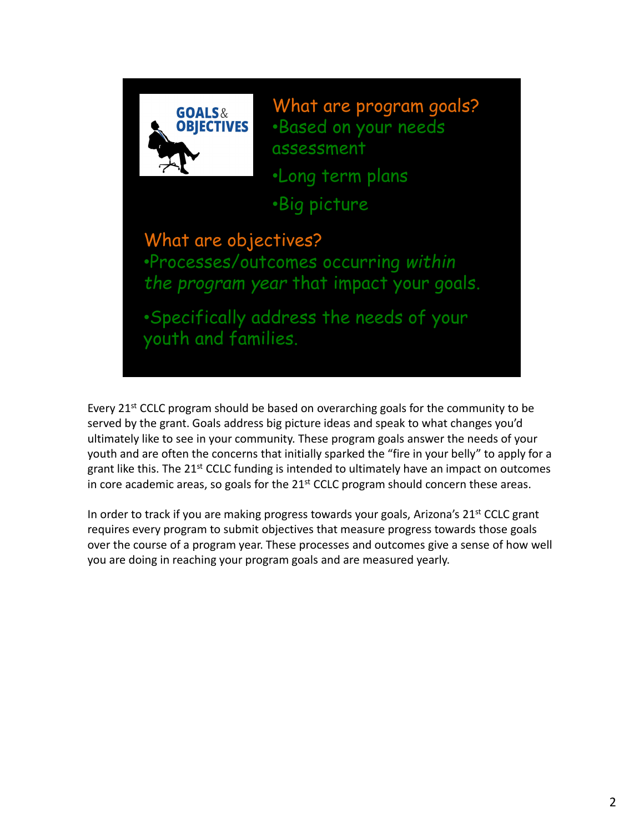

What are program goals? •Based on your needs assessment

•Long term plans

•Big picture

### What are objectives?

•Processes/outcomes occurring *within the program year* that impact your goals.

•Specifically address the needs of your youth and families.

Every 21<sup>st</sup> CCLC program should be based on overarching goals for the community to be served by the grant. Goals address big picture ideas and speak to what changes you'd ultimately like to see in your community. These program goals answer the needs of your youth and are often the concerns that initially sparked the "fire in your belly" to apply for a grant like this. The  $21^{st}$  CCLC funding is intended to ultimately have an impact on outcomes in core academic areas, so goals for the  $21<sup>st</sup>$  CCLC program should concern these areas.

In order to track if you are making progress towards your goals, Arizona's 21<sup>st</sup> CCLC grant requires every program to submit objectives that measure progress towards those goals over the course of a program year. These processes and outcomes give a sense of how well you are doing in reaching your program goals and are measured yearly.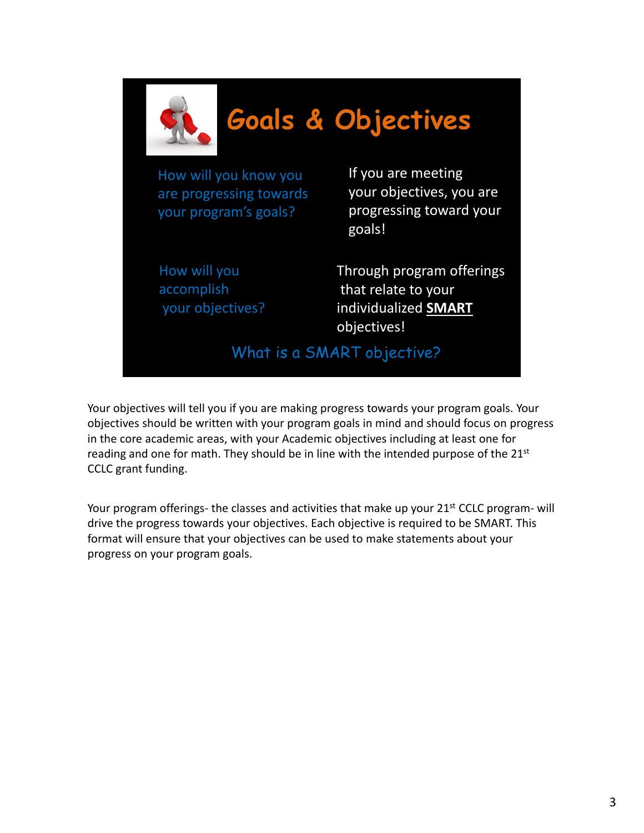

Your objectives will tell you if you are making progress towards your program goals. Your objectives should be written with your program goals in mind and should focus on progress in the core academic areas, with your Academic objectives including at least one for reading and one for math. They should be in line with the intended purpose of the 21<sup>st</sup> CCLC grant funding.

Your program offerings- the classes and activities that make up your 21<sup>st</sup> CCLC program- will drive the progress towards your objectives. Each objective is required to be SMART. This format will ensure that your objectives can be used to make statements about your progress on your program goals.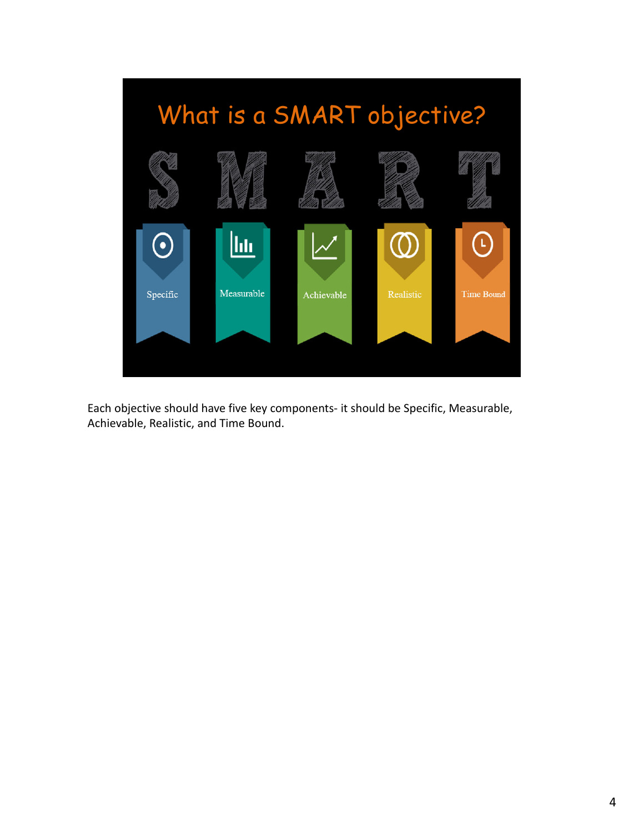

Each objective should have five key components‐ it should be Specific, Measurable, Achievable, Realistic, and Time Bound.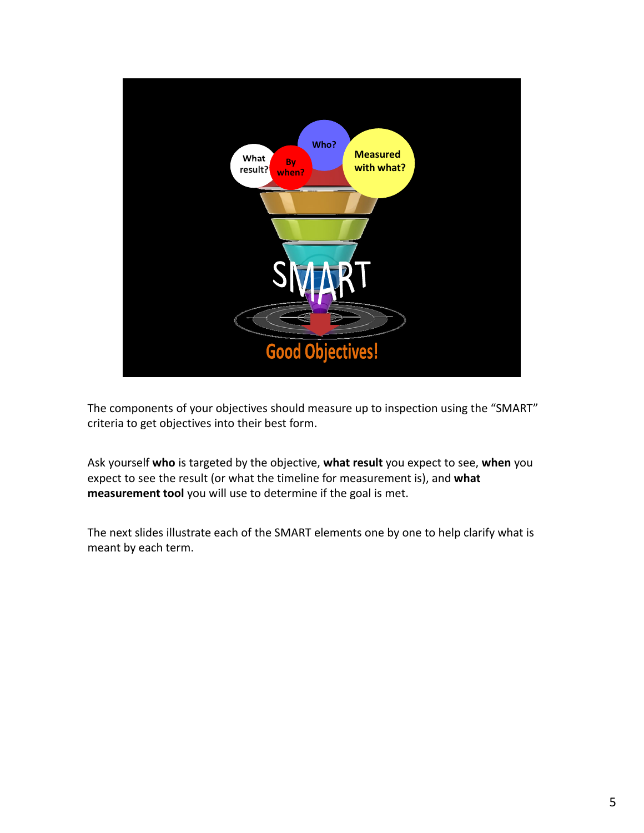

The components of your objectives should measure up to inspection using the "SMART" criteria to get objectives into their best form.

Ask yourself **who** is targeted by the objective, **what result** you expect to see, **when** you expect to see the result (or what the timeline for measurement is), and **what measurement tool** you will use to determine if the goal is met.

The next slides illustrate each of the SMART elements one by one to help clarify what is meant by each term.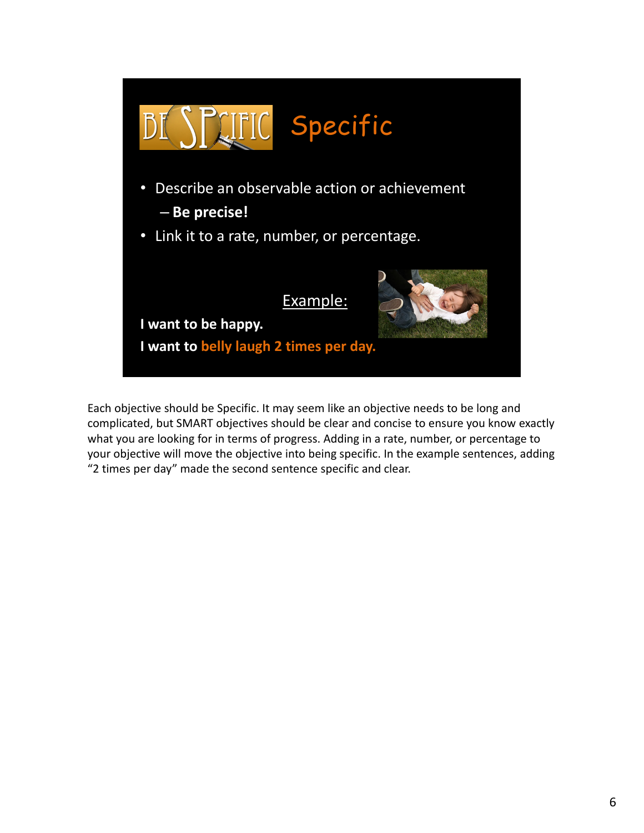

Each objective should be Specific. It may seem like an objective needs to be long and complicated, but SMART objectives should be clear and concise to ensure you know exactly what you are looking for in terms of progress. Adding in a rate, number, or percentage to your objective will move the objective into being specific. In the example sentences, adding "2 times per day" made the second sentence specific and clear.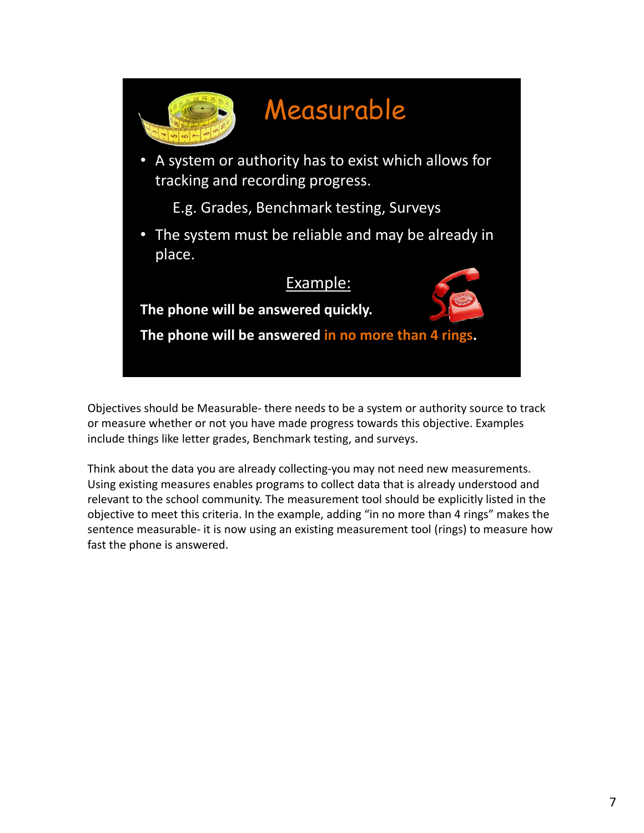

Objectives should be Measurable‐ there needs to be a system or authority source to track or measure whether or not you have made progress towards this objective. Examples include things like letter grades, Benchmark testing, and surveys.

Think about the data you are already collecting‐you may not need new measurements. Using existing measures enables programs to collect data that is already understood and relevant to the school community. The measurement tool should be explicitly listed in the objective to meet this criteria. In the example, adding "in no more than 4 rings" makes the sentence measurable- it is now using an existing measurement tool (rings) to measure how fast the phone is answered.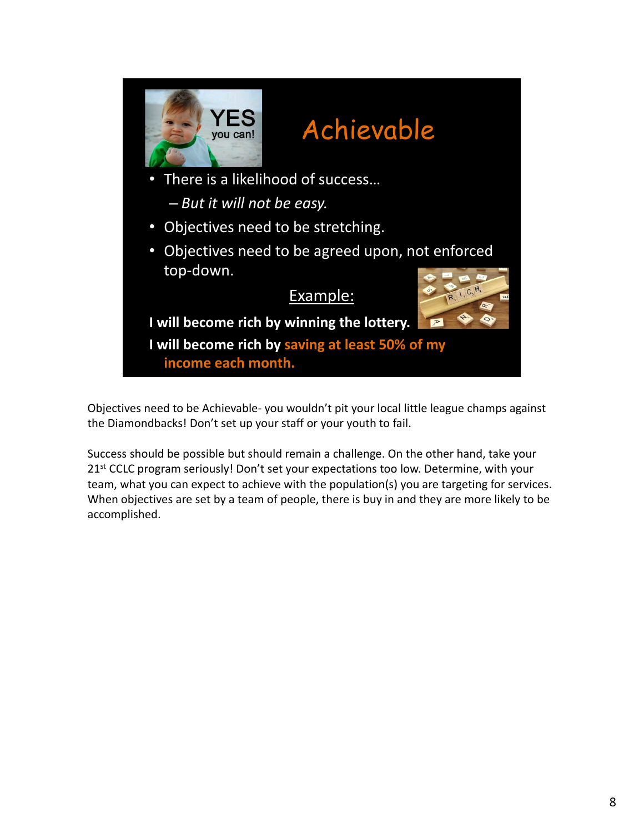

• Objectives need to be agreed upon, not enforced top‐down.

### Example:



**I will become rich by winning the lottery.**

**I will become rich by saving at least 50% of my income each month.**

Objectives need to be Achievable‐ you wouldn't pit your local little league champs against the Diamondbacks! Don't set up your staff or your youth to fail.

Success should be possible but should remain a challenge. On the other hand, take your 21<sup>st</sup> CCLC program seriously! Don't set your expectations too low. Determine, with your team, what you can expect to achieve with the population(s) you are targeting for services. When objectives are set by a team of people, there is buy in and they are more likely to be accomplished.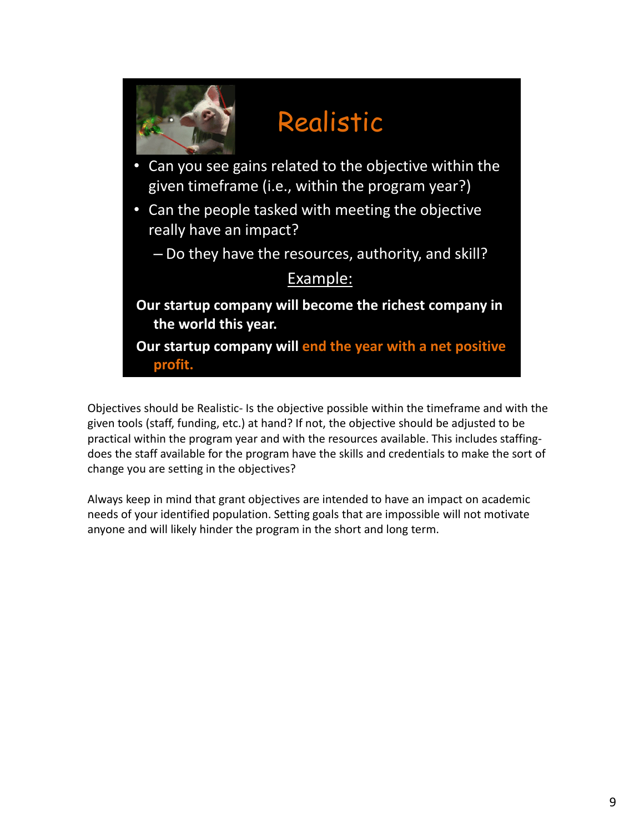

Objectives should be Realistic‐ Is the objective possible within the timeframe and with the given tools (staff, funding, etc.) at hand? If not, the objective should be adjusted to be practical within the program year and with the resources available. This includes staffing‐ does the staff available for the program have the skills and credentials to make the sort of change you are setting in the objectives?

Always keep in mind that grant objectives are intended to have an impact on academic needs of your identified population. Setting goals that are impossible will not motivate anyone and will likely hinder the program in the short and long term.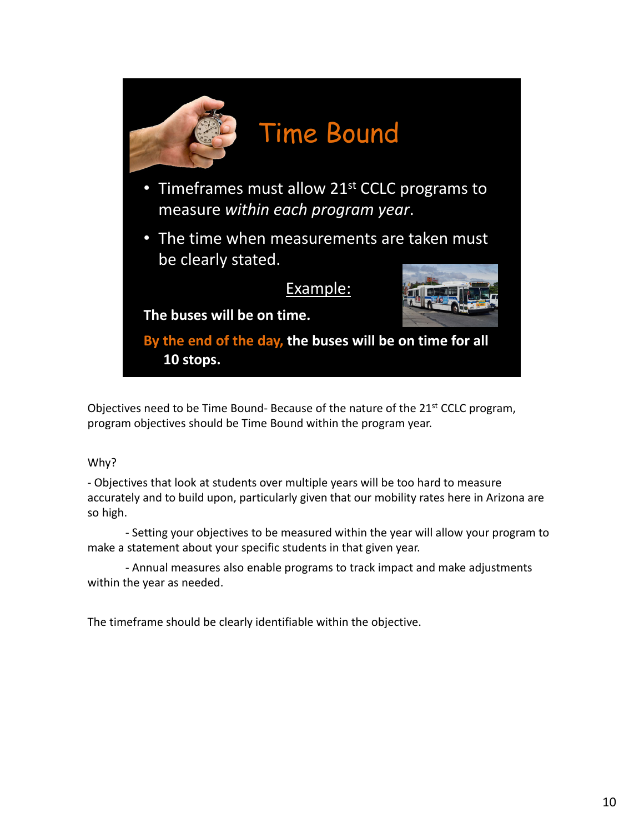

Objectives need to be Time Bound- Because of the nature of the 21<sup>st</sup> CCLC program, program objectives should be Time Bound within the program year.

#### Why?

‐ Objectives that look at students over multiple years will be too hard to measure accurately and to build upon, particularly given that our mobility rates here in Arizona are so high.

‐ Setting your objectives to be measured within the year will allow your program to make a statement about your specific students in that given year.

‐ Annual measures also enable programs to track impact and make adjustments within the year as needed.

The timeframe should be clearly identifiable within the objective.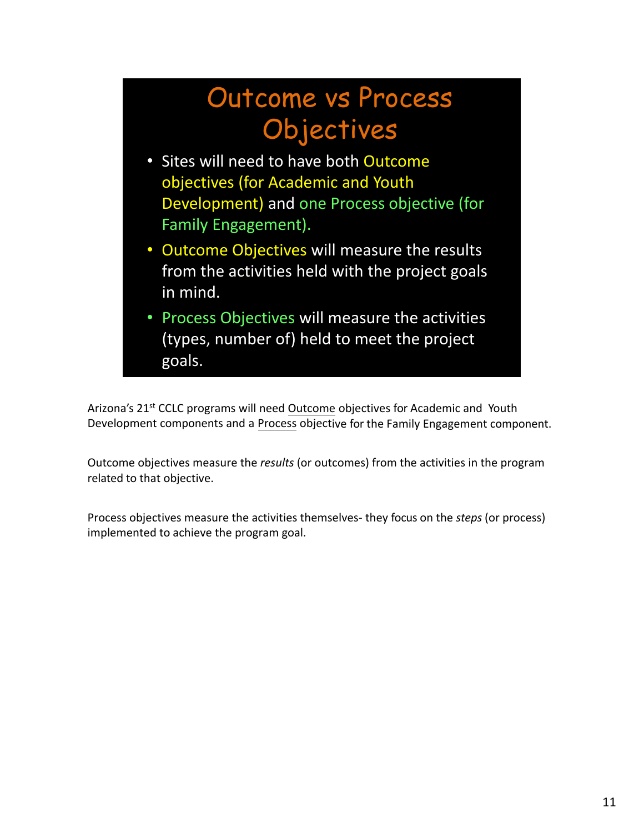# Outcome vs Process **Objectives**

- Sites will need to have both Outcome objectives (for Academic and Youth Development) and one Process objective (for Family Engagement).
- Outcome Objectives will measure the results from the activities held with the project goals in mind.
- Process Objectives will measure the activities (types, number of) held to meet the project goals.

Arizona's 21<sup>st</sup> CCLC programs will need Outcome objectives for Academic and Youth Development components and a Process objective for the Family Engagement component.

Outcome objectives measure the *results* (or outcomes) from the activities in the program related to that objective.

Process objectives measure the activities themselves‐ they focus on the *steps* (or process) implemented to achieve the program goal.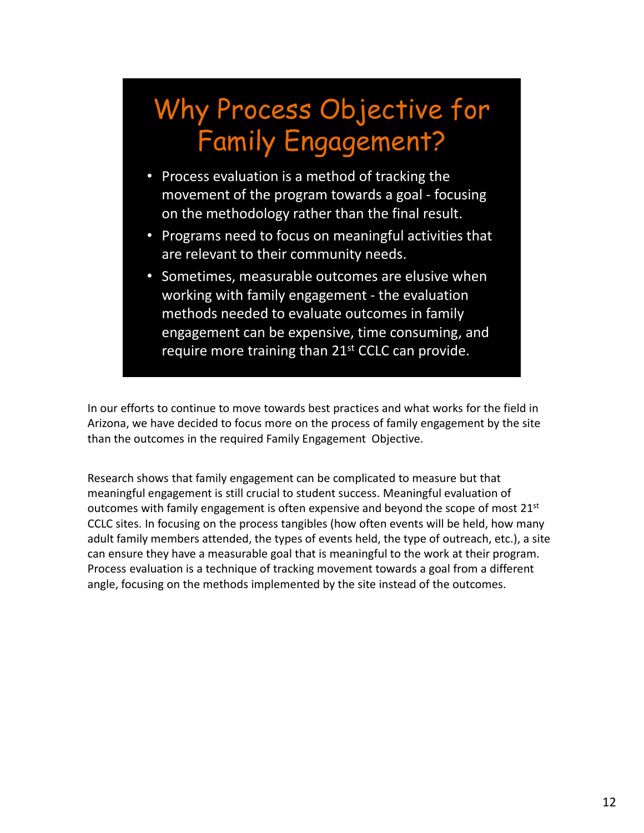# Why Process Objective for Family Engagement?

- Process evaluation is a method of tracking the movement of the program towards a goal ‐ focusing on the methodology rather than the final result.
- Programs need to focus on meaningful activities that are relevant to their community needs.
- Sometimes, measurable outcomes are elusive when working with family engagement ‐ the evaluation methods needed to evaluate outcomes in family engagement can be expensive, time consuming, and require more training than 21<sup>st</sup> CCLC can provide.

In our efforts to continue to move towards best practices and what works for the field in Arizona, we have decided to focus more on the process of family engagement by the site than the outcomes in the required Family Engagement Objective.

Research shows that family engagement can be complicated to measure but that meaningful engagement is still crucial to student success. Meaningful evaluation of outcomes with family engagement is often expensive and beyond the scope of most 21<sup>st</sup> CCLC sites. In focusing on the process tangibles (how often events will be held, how many adult family members attended, the types of events held, the type of outreach, etc.), a site can ensure they have a measurable goal that is meaningful to the work at their program. Process evaluation is a technique of tracking movement towards a goal from a different angle, focusing on the methods implemented by the site instead of the outcomes.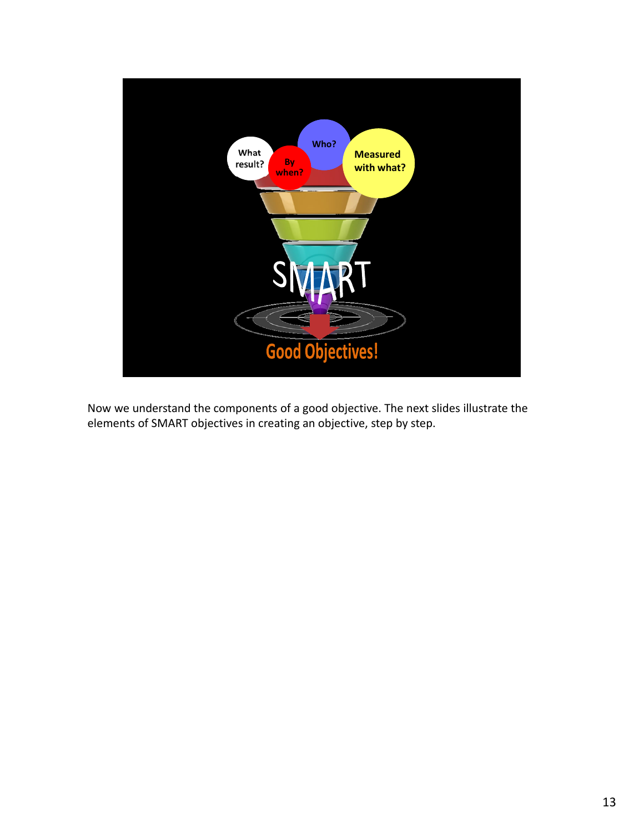

Now we understand the components of a good objective. The next slides illustrate the elements of SMART objectives in creating an objective, step by step.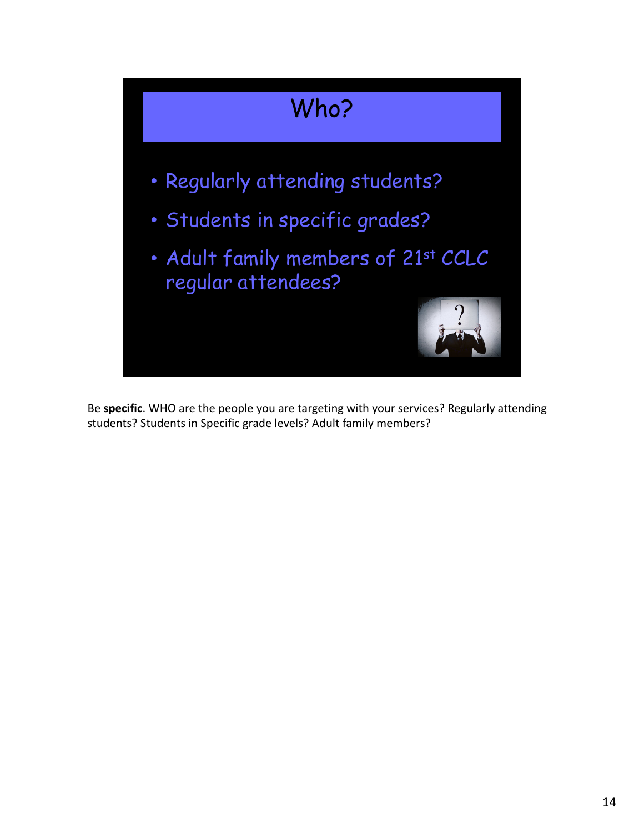

Be **specific**. WHO are the people you are targeting with your services? Regularly attending students? Students in Specific grade levels? Adult family members?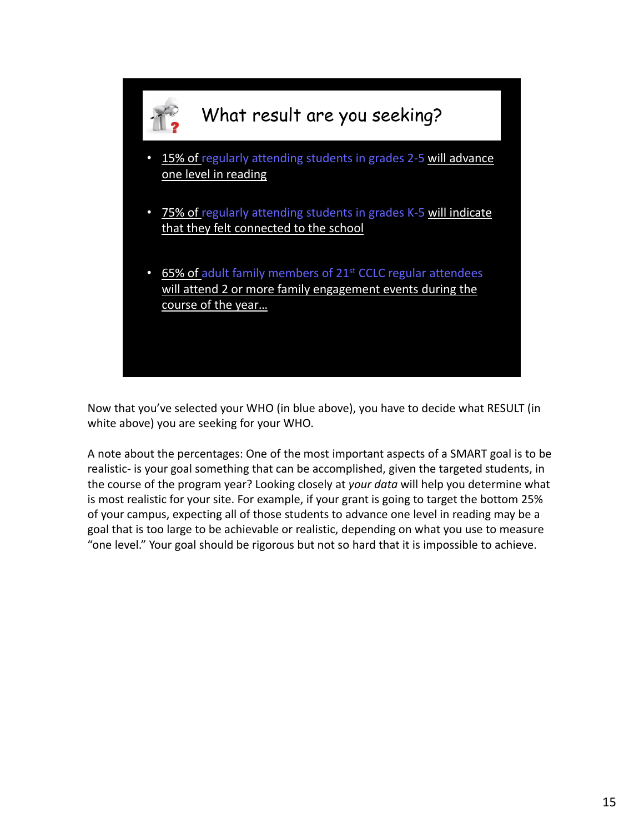

Now that you've selected your WHO (in blue above), you have to decide what RESULT (in white above) you are seeking for your WHO.

A note about the percentages: One of the most important aspects of a SMART goal is to be realistic‐ is your goal something that can be accomplished, given the targeted students, in the course of the program year? Looking closely at *your data* will help you determine what is most realistic for your site. For example, if your grant is going to target the bottom 25% of your campus, expecting all of those students to advance one level in reading may be a goal that is too large to be achievable or realistic, depending on what you use to measure "one level." Your goal should be rigorous but not so hard that it is impossible to achieve.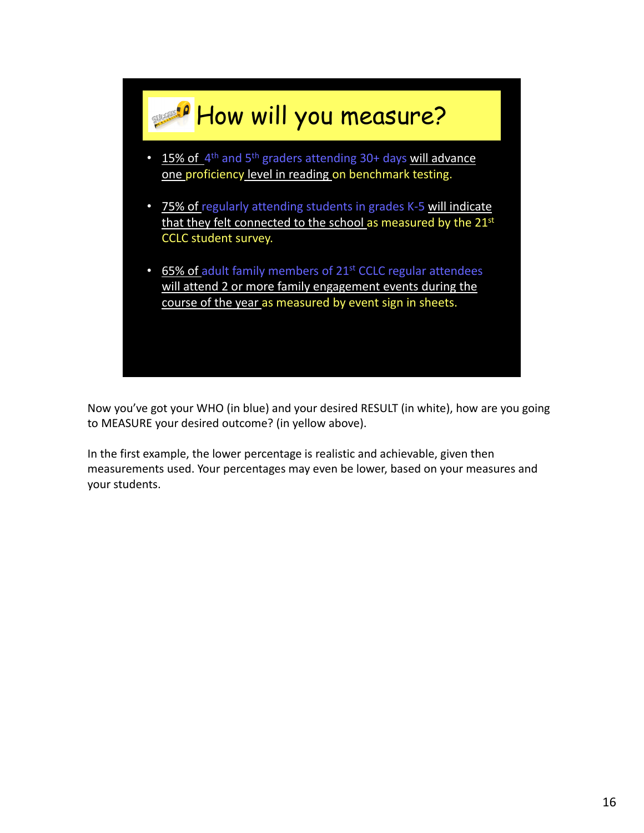

Now you've got your WHO (in blue) and your desired RESULT (in white), how are you going to MEASURE your desired outcome? (in yellow above).

In the first example, the lower percentage is realistic and achievable, given then measurements used. Your percentages may even be lower, based on your measures and your students.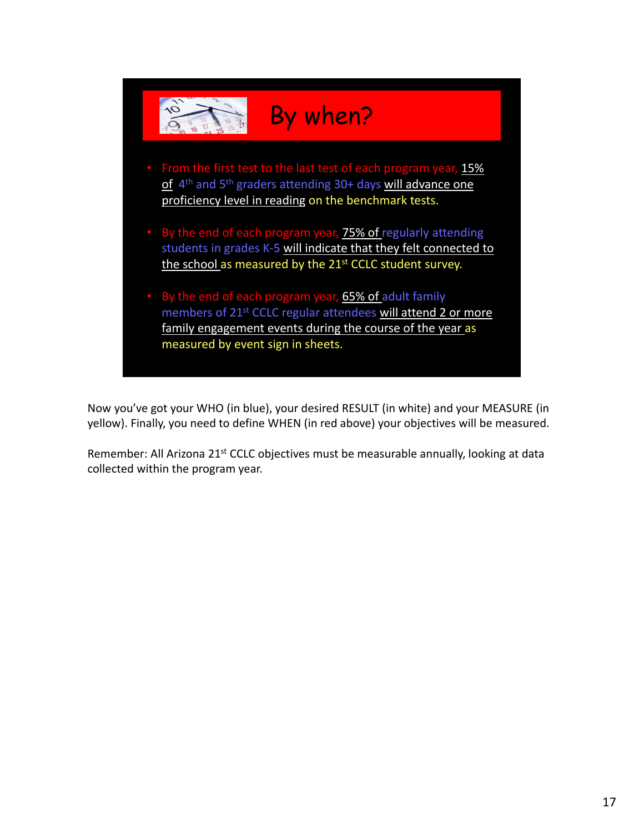

Now you've got your WHO (in blue), your desired RESULT (in white) and your MEASURE (in yellow). Finally, you need to define WHEN (in red above) your objectives will be measured.

Remember: All Arizona 21<sup>st</sup> CCLC objectives must be measurable annually, looking at data collected within the program year.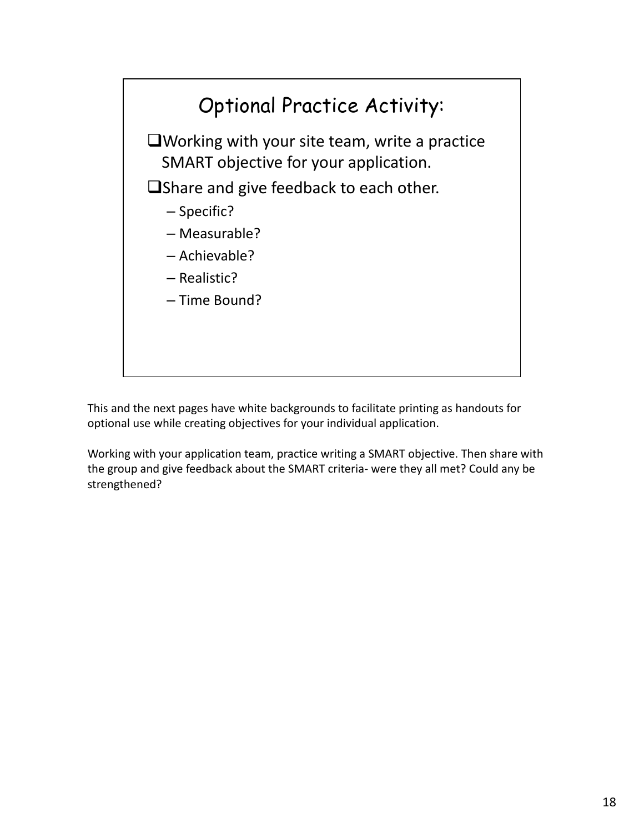

This and the next pages have white backgrounds to facilitate printing as handouts for optional use while creating objectives for your individual application.

Working with your application team, practice writing a SMART objective. Then share with the group and give feedback about the SMART criteria‐ were they all met? Could any be strengthened?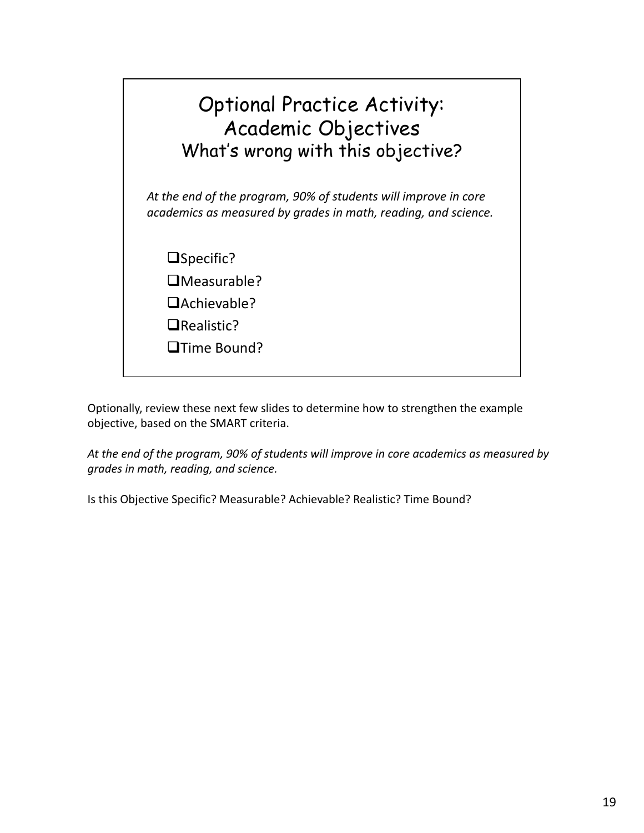

Optionally, review these next few slides to determine how to strengthen the example objective, based on the SMART criteria.

*At the end of the program, 90% of students will improve in core academics as measured by grades in math, reading, and science.*

Is this Objective Specific? Measurable? Achievable? Realistic? Time Bound?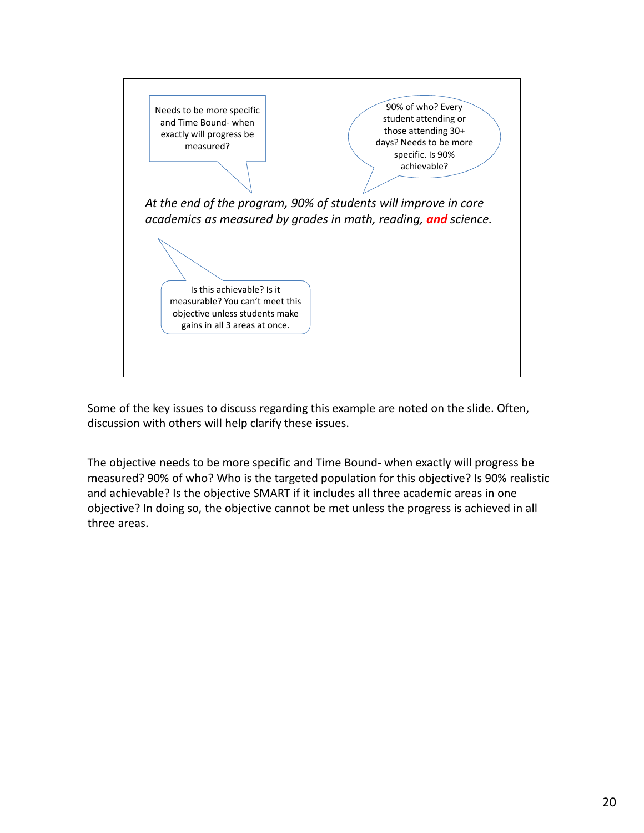

Some of the key issues to discuss regarding this example are noted on the slide. Often, discussion with others will help clarify these issues.

The objective needs to be more specific and Time Bound‐ when exactly will progress be measured? 90% of who? Who is the targeted population for this objective? Is 90% realistic and achievable? Is the objective SMART if it includes all three academic areas in one objective? In doing so, the objective cannot be met unless the progress is achieved in all three areas.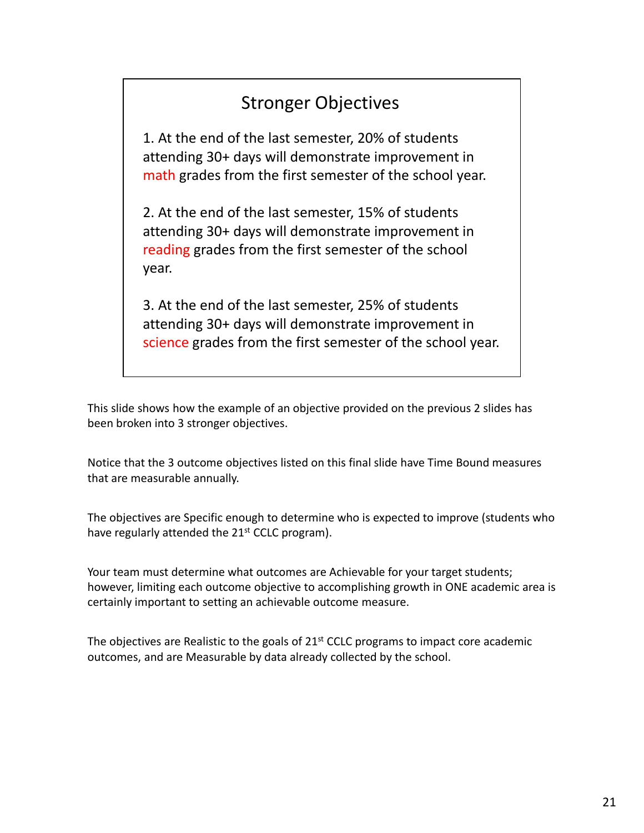### Stronger Objectives.

1. At the end of the last semester, 20% of students attending 30+ days will demonstrate improvement in math grades from the first semester of the school year.

2. At the end of the last semester, 15% of students attending 30+ days will demonstrate improvement in reading grades from the first semester of the school year.

3. At the end of the last semester, 25% of students attending 30+ days will demonstrate improvement in science grades from the first semester of the school year.

This slide shows how the example of an objective provided on the previous 2 slides has been broken into 3 stronger objectives.

Notice that the 3 outcome objectives listed on this final slide have Time Bound measures that are measurable annually.

The objectives are Specific enough to determine who is expected to improve (students who have regularly attended the 21<sup>st</sup> CCLC program).

Your team must determine what outcomes are Achievable for your target students; however, limiting each outcome objective to accomplishing growth in ONE academic area is certainly important to setting an achievable outcome measure.

The objectives are Realistic to the goals of 21<sup>st</sup> CCLC programs to impact core academic outcomes, and are Measurable by data already collected by the school.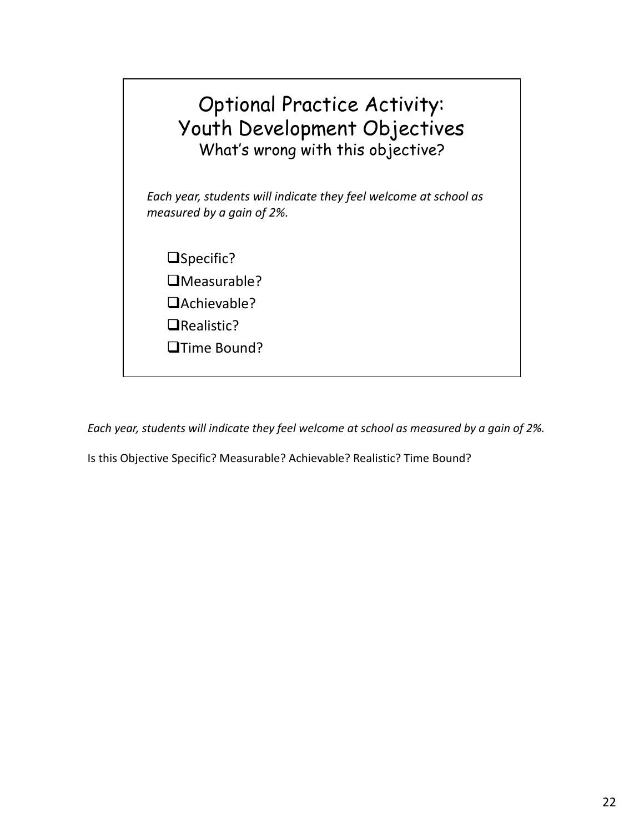

*Each year, students will indicate they feel welcome at school as measured by a gain of 2%.*

Is this Objective Specific? Measurable? Achievable? Realistic? Time Bound?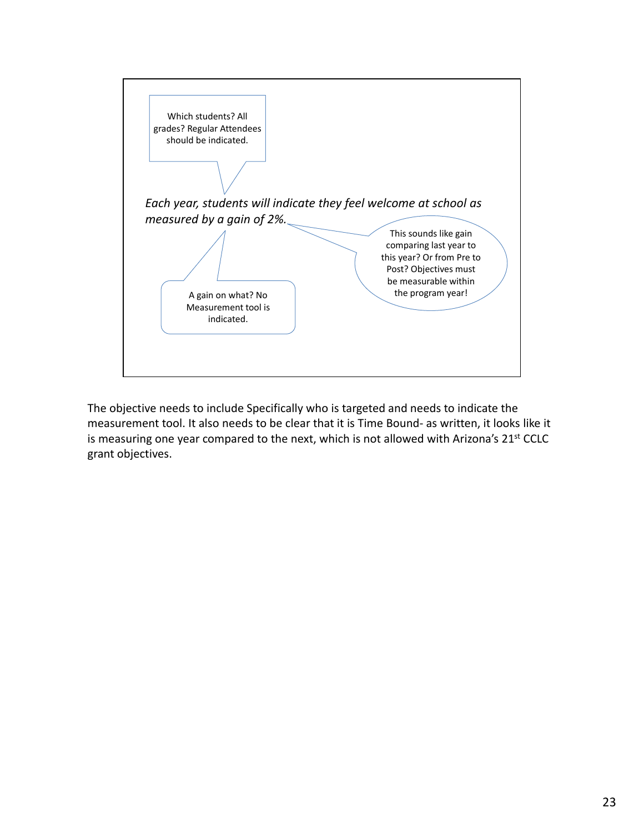

The objective needs to include Specifically who is targeted and needs to indicate the measurement tool. It also needs to be clear that it is Time Bound‐ as written, it looks like it is measuring one year compared to the next, which is not allowed with Arizona's 21<sup>st</sup> CCLC grant objectives.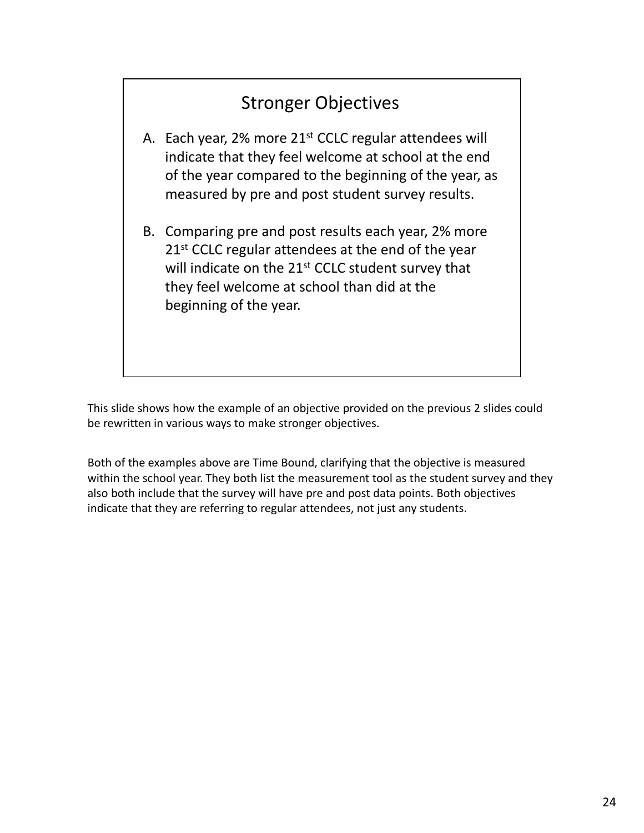## Stronger Objectives.

- A. Each year, 2% more 21<sup>st</sup> CCLC regular attendees will indicate that they feel welcome at school at the end of the year compared to the beginning of the year, as measured by pre and post student survey results.
- B. Comparing pre and post results each year, 2% more 21<sup>st</sup> CCLC regular attendees at the end of the year will indicate on the 21<sup>st</sup> CCLC student survey that they feel welcome at school than did at the beginning of the year.

This slide shows how the example of an objective provided on the previous 2 slides could be rewritten in various ways to make stronger objectives.

Both of the examples above are Time Bound, clarifying that the objective is measured within the school year. They both list the measurement tool as the student survey and they also both include that the survey will have pre and post data points. Both objectives indicate that they are referring to regular attendees, not just any students.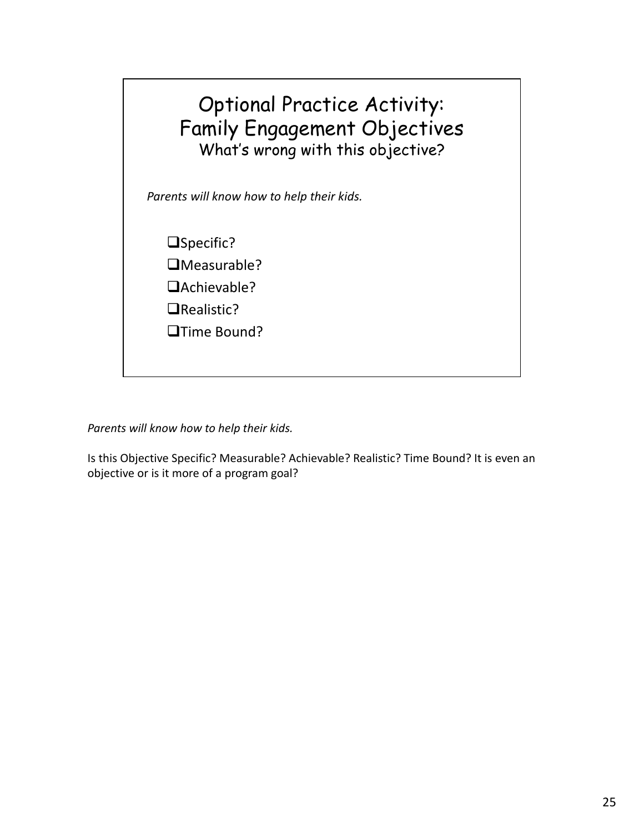

*Parents will know how to help their kids.*

Is this Objective Specific? Measurable? Achievable? Realistic? Time Bound? It is even an objective or is it more of a program goal?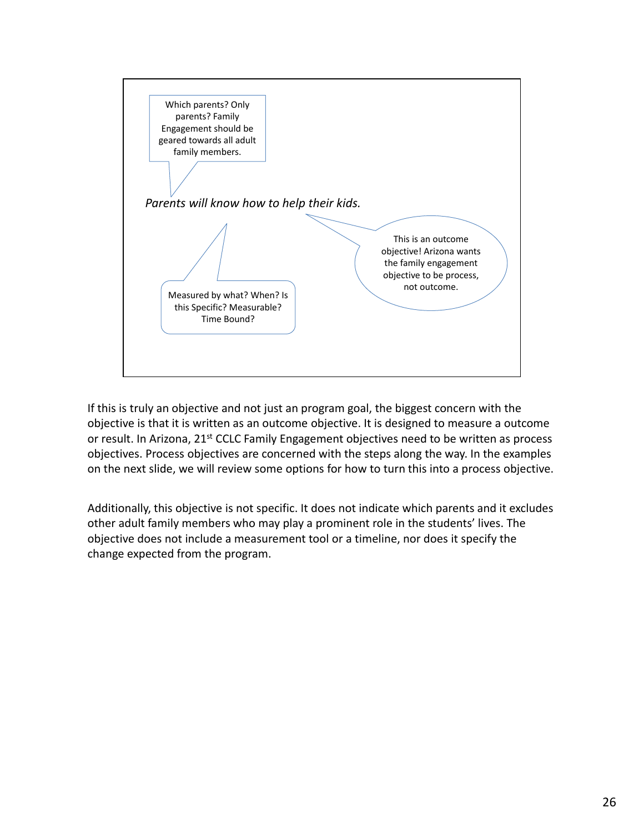

If this is truly an objective and not just an program goal, the biggest concern with the objective is that it is written as an outcome objective. It is designed to measure a outcome or result. In Arizona, 21<sup>st</sup> CCLC Family Engagement objectives need to be written as process objectives. Process objectives are concerned with the steps along the way. In the examples on the next slide, we will review some options for how to turn this into a process objective.

Additionally, this objective is not specific. It does not indicate which parents and it excludes other adult family members who may play a prominent role in the students' lives. The objective does not include a measurement tool or a timeline, nor does it specify the change expected from the program.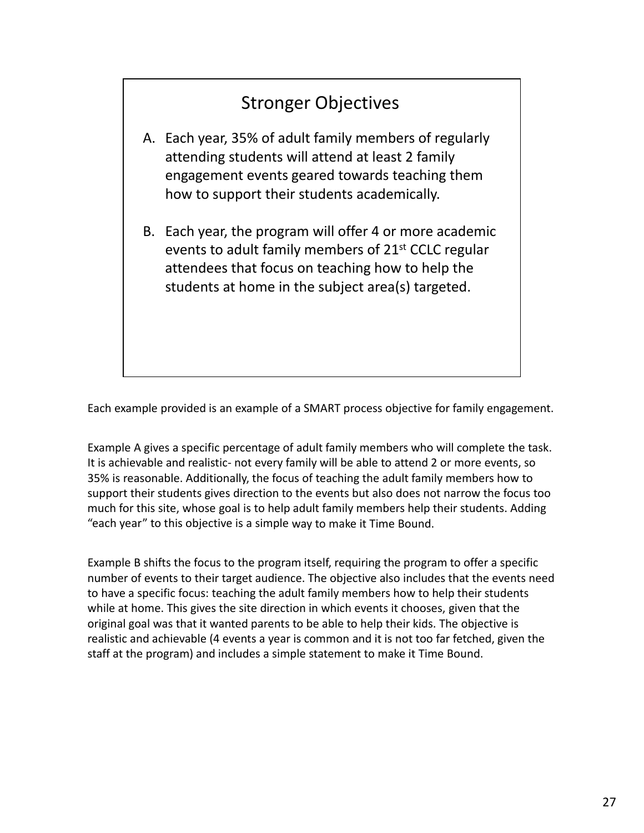## Stronger Objectives.

- A. Each year, 35% of adult family members of regularly attending students will attend at least 2 family engagement events geared towards teaching them how to support their students academically.
- B. Each year, the program will offer 4 or more academic events to adult family members of 21st CCLC regular attendees that focus on teaching how to help the students at home in the subject area(s) targeted.

Each example provided is an example of a SMART process objective for family engagement.

Example A gives a specific percentage of adult family members who will complete the task. It is achievable and realistic- not every family will be able to attend 2 or more events, so 35% is reasonable. Additionally, the focus of teaching the adult family members how to support their students gives direction to the events but also does not narrow the focus too much for this site, whose goal is to help adult family members help their students. Adding "each year" to this objective is a simple way to make it Time Bound.

Example B shifts the focus to the program itself, requiring the program to offer a specific number of events to their target audience. The objective also includes that the events need to have a specific focus: teaching the adult family members how to help their students while at home. This gives the site direction in which events it chooses, given that the original goal was that it wanted parents to be able to help their kids. The objective is realistic and achievable (4 events a year is common and it is not too far fetched, given the staff at the program) and includes a simple statement to make it Time Bound.